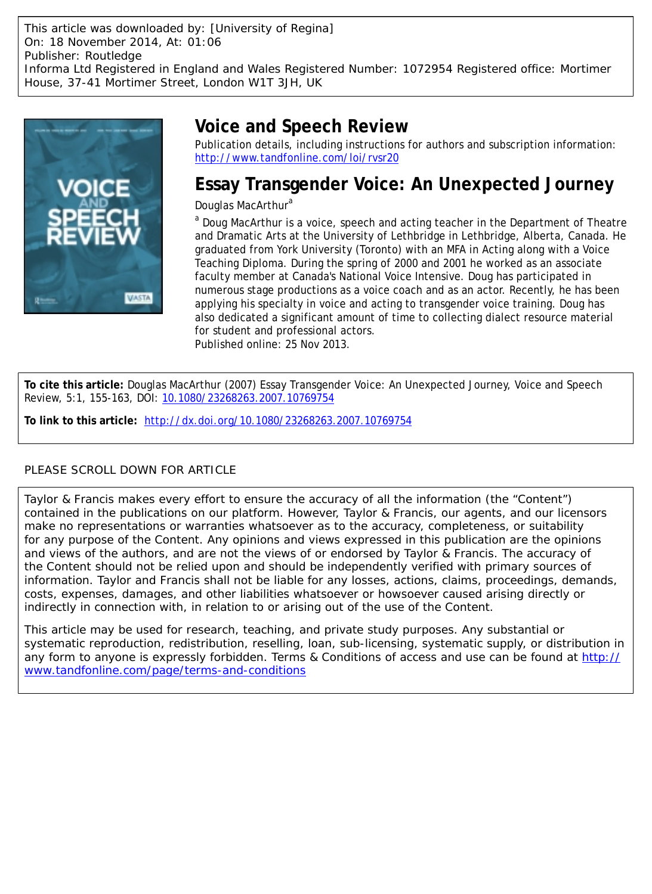This article was downloaded by: [University of Regina] On: 18 November 2014, At: 01:06 Publisher: Routledge Informa Ltd Registered in England and Wales Registered Number: 1072954 Registered office: Mortimer House, 37-41 Mortimer Street, London W1T 3JH, UK



# **Voice and Speech Review**

Publication details, including instructions for authors and subscription information: <http://www.tandfonline.com/loi/rvsr20>

# **Essay Transgender Voice: An Unexpected Journey**

# Douglas MacArthur<sup>a</sup>

<sup>a</sup> Doug MacArthur is a voice, speech and acting teacher in the Department of Theatre and Dramatic Arts at the University of Lethbridge in Lethbridge, Alberta, Canada. He graduated from York University (Toronto) with an MFA in Acting along with a Voice Teaching Diploma. During the spring of 2000 and 2001 he worked as an associate faculty member at Canada's National Voice Intensive. Doug has participated in numerous stage productions as a voice coach and as an actor. Recently, he has been applying his specialty in voice and acting to transgender voice training. Doug has also dedicated a significant amount of time to collecting dialect resource material for student and professional actors. Published online: 25 Nov 2013.

**To cite this article:** Douglas MacArthur (2007) Essay Transgender Voice: An Unexpected Journey, Voice and Speech Review, 5:1, 155-163, DOI: [10.1080/23268263.2007.10769754](http://www.tandfonline.com/action/showCitFormats?doi=10.1080/23268263.2007.10769754)

**To link to this article:** <http://dx.doi.org/10.1080/23268263.2007.10769754>

# PLEASE SCROLL DOWN FOR ARTICLE

Taylor & Francis makes every effort to ensure the accuracy of all the information (the "Content") contained in the publications on our platform. However, Taylor & Francis, our agents, and our licensors make no representations or warranties whatsoever as to the accuracy, completeness, or suitability for any purpose of the Content. Any opinions and views expressed in this publication are the opinions and views of the authors, and are not the views of or endorsed by Taylor & Francis. The accuracy of the Content should not be relied upon and should be independently verified with primary sources of information. Taylor and Francis shall not be liable for any losses, actions, claims, proceedings, demands, costs, expenses, damages, and other liabilities whatsoever or howsoever caused arising directly or indirectly in connection with, in relation to or arising out of the use of the Content.

This article may be used for research, teaching, and private study purposes. Any substantial or systematic reproduction, redistribution, reselling, loan, sub-licensing, systematic supply, or distribution in any form to anyone is expressly forbidden. Terms & Conditions of access and use can be found at [http://](http://www.tandfonline.com/page/terms-and-conditions) [www.tandfonline.com/page/terms-and-conditions](http://www.tandfonline.com/page/terms-and-conditions)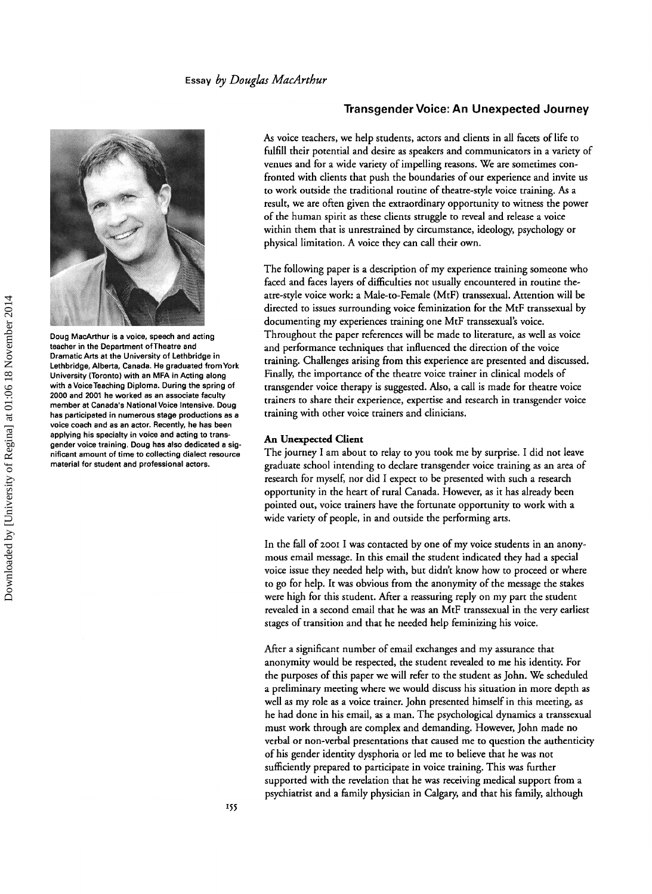

Doug MacArthur is a voice, speech and acting teacher in the Department ofTheatre and Dramatic Arts at the University of Lethbridge in Lethbridge, Alberta, Canada. He graduated from York University {Toronto) with an MFA in Acting along with a Voice Teaching Diploma. During the spring of 2000 and 2001 he worked as an associate faculty member at Canada's National Voice Intensive. Doug has participated in numerous stage productions as a voice coach and as an actor. Recently, he has been applying his specialty in voice and acting to transgender voice training. Doug has also dedicated a significant amount of time to collecting dialect resource material for student and professional actors.

### **Transgender Voice: An Unexpected Journey**

*As* voice teachers, we help students, actors and clients in all facets of life to fulfill their potential and desire as speakers and communicators in a variety of venues and for a wide variety of impelling reasons. We are sometimes confronted with clients that push the boundaries of our experience and invite us to work outside the traditional routine of theatre-style voice training. *As* a result, we are often given the extraordinary opportunity to witness the power of the human spirit as these clients struggle to reveal and release a voice within them that is unrestrained by circumstance, ideology, psychology or physical limitation. A voice they can call their own.

The following paper is a description of my experience training someone who faced and faces layers of difficulties not usually encountered in routine theatre-style voice work: a Male-to-Female (MtF) transsexual. Attention will be directed to issues surrounding voice feminization for the MtF transsexual by documenting my experiences training one MtF transsexual's voice. Throughout the paper references will be made to literature, as well as voice and performance techniques that influenced the direction of the voice training. Challenges arising from this experience are presented and discussed. Finally, the importance of the theatre voice trainer in clinical models of transgender voice therapy is suggested. Also, a call is made for theatre voice trainers to share their experience, expertise and research in transgender voice training with other voice trainers and clinicians.

#### **An Unexpected Client**

The journey I am about to relay to you took me by surprise. I did not leave graduate school intending to declare transgender voice training as an area of research for myself, nor did I expect to be presented with such a research opportunity in the heart of rural Canada. However, as it has already been pointed out, voice trainers have the fortunate opportunity to work with a wide variety of people, in and outside the performing arts.

In the fall of 2001 I was contacted by one of my voice students in an anonymous email message. In this email the student indicated they had a special voice issue they needed help with, but didn't know how to proceed or where to go for help. It was obvious from the anonymity of the message the stakes were high for this student. After a reassuring reply on my part the student revealed in a second email that he was an MtF transsexual in the very earliest stages of transition and that he needed help feminizing his voice.

After a significant number of email exchanges and my assurance that anonymity would be respected, the student revealed to me his identity. For the purposes of this paper we will refer to the student as John. We scheduled a preliminary meeting where we would discuss his situation in more depth as well as my role as a voice trainer. John presented himself in this meeting, as he had done in his email, as a man. The psychological dynamics a transsexual must work through are complex and demanding. However, John made no verbal or non-verbal presentations that caused me to question the authenticity of his gender identity dysphoria or led me to believe that he was not sufficiently prepared to participate in voice training. This was further supported with the revelation that he was receiving medical support from a psychiatrist and a family physician in Calgary, and that his family, although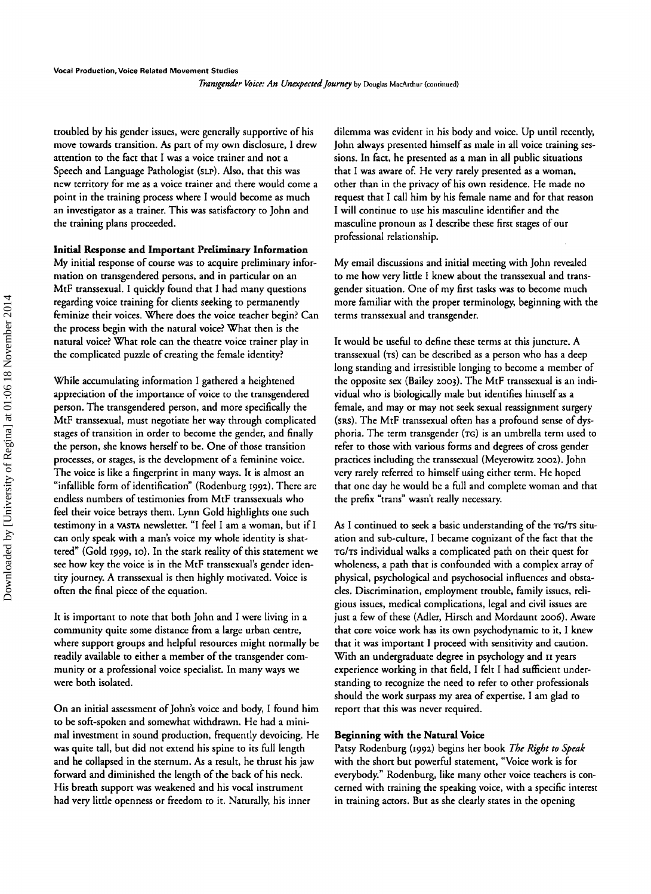troubled by his gender issues, were generally supportive of his move towards transition. *As* part of my own disclosure, I drew attention to the fact that I was a voice trainer and not a Speech and Language Pathologist (sLP). Also, that this was new territory for me as a voice trainer and there would come a point in the training process where I would become as much an investigator as a trainer. This was satisfactory to John and the training plans proceeded.

Initial Response and Important Preliminary Information

My initial response of course was to acquire preliminary information on transgendered persons, and in particular on an MtF transsexual. I quickly found that I had many questions regarding voice training for clients seeking to permanently feminize their voices. Where does the voice teacher begin? Can the process begin with the natural voice? What then is the natural voice? What role can the theatre voice trainer play in the complicated puzzle of creating the female identity?

While accumulating information I gathered a heightened appreciation of the importance of voice to the transgendered person. The transgendered person, and more specifically the MtF transsexual, must negotiate her way through complicated stages of transition in order to become the gender, and finally the person, she knows herself to be. One of those transition processes, or stages, is the development of a feminine voice. The voice is like a fingerprint in many ways. It is almost an "infallible form of identification" (Rodenburg 1992). There are endless numbers of testimonies from MtF transsexuals who feel their voice betrays them. Lynn Gold highlights one such testimony in a VASTA newsletter. "I feel I am a woman, but if I can only speak with a man's voice my whole identity is shattered" (Gold 1999, 10). In the stark reality of this statement we see how key the voice is in the MtF transsexual's gender identity journey. A transsexual is then highly motivated. Voice is often the final piece of the equation.

It is important to note that both John and I were living in a community quite some distance from a large urban centre, where support groups and helpful resources might normally be readily available to either a member of the transgender community or a professional voice specialist. In many ways we were both isolated.

On an initial assessment of John's voice and body, I found him to be soft-spoken and somewhat withdrawn. He had a minimal investment in sound production, frequently devoicing. He was quite call, but did not extend his spine to its full length and he collapsed in the sternum. *As* a result, he thrust his jaw forward and diminished the length of the back of his neck. His breath support was weakened and his vocal instrument had very little openness or freedom to it. Naturally, his inner

dilemma was evident in his body and voice. Up until recently, John always presented himself as male in all voice training sessions. In fact, he presented as a man in all public situations that I was aware of. He very rarely presented as a woman, other than in the privacy of his own residence. He made no request that I call him by his female name and for that reason I will continue co use his masculine identifier and the masculine pronoun as I describe these first stages of our professional relationship.

My email discussions and initial meeting with John revealed to me how very little I knew about the transsexual and transgender situation. One of my first tasks was to become much more familiar with the proper terminology, beginning with the terms transsexual and transgender.

It would be useful to define these terms at this juncture. A transsexual (TS) can be described as a person who has a deep long standing and irresistible longing to become a member of the opposite sex (Bailey 2003). The McF transsexual is an individual who is biologically male but identifies himself as a female, and may or may not seek sexual reassignment surgery (sRs). The MtF transsexual often has a profound sense of dysphoria. The term transgender (TG) is an umbrella term used co refer to those with various forms and degrees of cross gender practices including the transsexual (Meyerowitz 2002). John very rarely referred to himself using either term. He hoped that one day he would be a full and complete woman and that the prefix "trans" wasn't really necessary.

As I continued to seek a basic understanding of the TG/Ts situation and sub-culture, I became cognizant of the fact that the TG/Ts individual walks a complicated path on their quest for wholeness, a path that is confounded with a complex array of physical, psychological and psychosocial influences and obstacles. Discrimination, employment trouble, family issues, religious issues, medical complications, legal and civil issues are just a few of these (Adler, Hirsch and Mordaunt 2006). Aware that core voice work has its own psychodynamic to it, I knew that it was important I proceed with sensitivity and caution. With an undergraduate degree in psychology and 11 years experience working in that field, I felt I had sufficient understanding to recognize the need to refer to other professionals should the work surpass my area of expertise. I am glad to report that this was never required.

## Beginning with the Natural Voice

Patsy Rodenburg (1992) begins her book *The Right to Speak*  with the short but powerful statement, "Voice work is for everybody." Rodenburg, like many other voice teachers is concerned with training the speaking voice, with a specific interest in training actors. But as she clearly states in the opening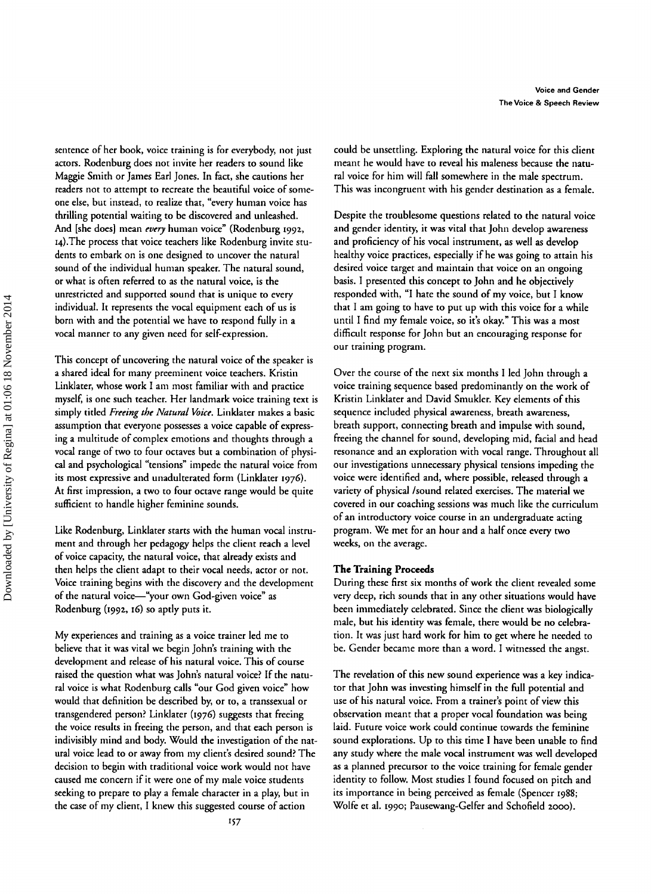sentence of her book, voice training is for everybody, not just actors. Rodenburg does not invite her readers to sound like Maggie Smith or James Earl Jones. In fact, she cautions her readers not to attempt to recreate the beautiful voice of someone else, but instead, to realize that, "every human voice has thrilling potential waiting to be discovered and unleashed. And [she does] mean *every* human voice" (Rodenburg 1992, 14).The process that voice teachers like Rodenburg invite students to embark on is one designed to uncover the natural sound of the individual human speaker. The natural sound, or what is often referred to as the natural voice, is the unrestricted and supported sound that is unique to every individual. It represents the vocal equipment each of us is born with and the potential we have to respond fully in a vocal manner to any given need for self-expression.

This concept of uncovering the natural voice of the speaker is a shared ideal for many preeminent voice teachers. Kristin Linklater, whose work I am most familiar with and practice myself, is one such teacher. Her landmark voice training text is simply titled *Freeing the Natural Voice*. Linklater makes a basic assumption that everyone possesses a voice capable of expressing a multitude of complex emotions and thoughts through a vocal range of two to four octaves but a combination of physical and psychological "tensions" impede the natural voice from its most expressive and unadulterated form (Linklater 1976). At first impression, a two to four octave range would be quite sufficient to handle higher feminine sounds.

Like Rodenburg, Linklater starts with the human vocal instrument and through her pedagogy helps the client reach a level of voice capacity, the natural voice, that already exists and then helps the client adapt to their vocal needs, actor or not. Voice training begins with the discovery and the development of the natural voice-"your own God-given voice" as Rodenburg (1992, 16) so aptly puts it.

My experiences and training as a voice trainer led me to believe that it was vital we begin John's training with the development and release of his natural voice. This of course raised the question what was John's natural voice? If the natural voice is what Rodenburg calls "our God given voice" how would that definition be described by, or to, a transsexual or transgendered person? Linklater (1976) suggests that freeing the voice results in freeing the person, and that each person is indivisibly mind and body. Would the investigation of the natural voice lead to or away from my client's desired sound? The decision to begin with traditional voice work would not have caused me concern if it were one of my male voice students seeking to prepare to play a female character in a play, but in the case of my client, I knew this suggested course of action

could be unsettling. Exploring the natural voice for this client meant he would have to reveal his maleness because the natural voice for him will fall somewhere in the male spectrum. This was incongruent with his gender destination as a female.

Despite the troublesome questions related to the natural voice and gender identity, it was vital that John develop awareness and proficiency of his vocal instrument, as well as develop healthy voice practices, especially if he was going to attain his desired voice target and maintain that voice on an ongoing basis. I presented this concept to John and he objectively responded with, "I hate the sound of my voice, but I know that I am going to have to put up with this voice for a while until I find my female voice, so it's okay." This was a most difficult response for John but an encouraging response for our training program.

Over the course of the next six months I led John through a voice training sequence based predominantly on the work of Kristin Linklater and David Smukler. Key elements of this sequence included physical awareness, breath awareness, breath support, connecting breath and impulse with sound, freeing the channel for sound, developing mid, facial and head resonance and an exploration with vocal range. Throughout all our investigations unnecessary physical tensions impeding the voice were identified and, where possible, released through a variety of physical /sound related exercises. The material we covered in our coaching sessions was much like the curriculum of an introductory voice course in an undergraduate acting program. We met for an hour and a half once every two weeks, on the average.

#### **The Training Proceeds**

During these first six months of work the client revealed some very deep, rich sounds that in any other situations would have been immediately celebrated. Since the client was biologically male, but his identity was female, there would be no celebration. It was just hard work for him to get where he needed to be. Gender became more than a word. I witnessed the angst.

The revelation of this new sound experience was a key indicator that John was investing himself in the full potential and use of his natural voice. From a trainer's point of view this observation meant that a proper vocal foundation was being laid. Future voice work could continue towards the feminine sound explorations. Up to this time I have been unable to find any study where the male vocal instrument was well developed as a planned precursor to the voice training for female gender identity to follow. Most studies I found focused on pitch and its importance in being perceived as female (Spencer 1988; Wolfe et al. 1990; Pausewang-Gelfer and Schofield 2000).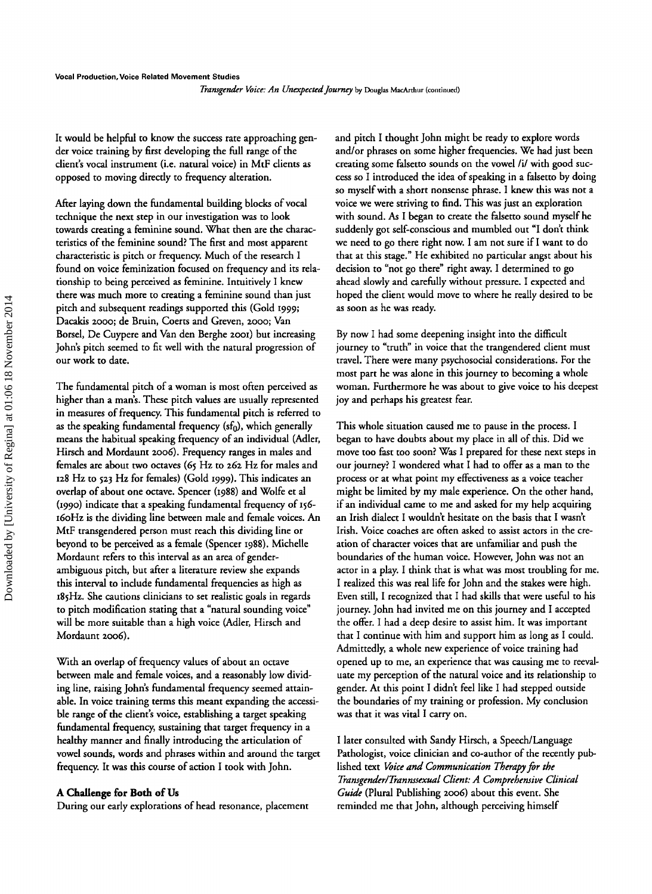It would be helpful to know the success rate approaching gender voice training by first developing the full range of the client's vocal instrument (i.e. natural voice) in MtF clients as opposed to moving directly to frequency alteration.

After laying down the fundamental building blocks of vocal technique the next step in our investigation was to look towards creating a feminine sound. What then are the characteristics of the feminine sound? The first and most apparent characteristic is pitch or frequency. Much of the research I found on voice feminization focused on frequency and its relationship to being perceived as feminine. Intuitively I knew there was much more to creating a feminine sound than just pitch and subsequent readings supported this (Gold 1999; Dacakis 2000; de Bruin, Coerts and Greven, 2000; Van Borsel, De Cuypere and Van den Berghe 2001) but increasing John's pitch seemed to fit well with the natural progression of our work to date.

The fundamental pitch of a woman is most often perceived as higher than a man's. These pitch values are usually represented in measures of frequency. This fundamental pitch is referred to as the speaking fundamental frequency  $(s f_0)$ , which generally means the habitual speaking frequency of an individual (Adler, Hirsch and Mordaunt 2006). Frequency ranges in males and females are about two octaves (65 Hz to 262 Hz for males and 128 Hz to 523 Hz for females) (Gold 1999). This indicates an overlap of about one octave. Spencer (1988) and Wolfe et al (1990) indicate that a speaking fundamental frequency of l56- 160Hz is the dividing line between male and female voices. An MtF transgendered person must reach this dividing line or beyond to be perceived as a female (Spencer 1988). Michelle Mordaunt refers to this interval as an area of genderambiguous pitch, but after a literature review she expands this interval to include fundamental frequencies as high as l85Hz. She cautions clinicians to set realistic goals in regards to pitch modification stating that a "natural sounding voice" will be more suitable than a high voice (Adler, Hirsch and Mordaunt 2006).

With an overlap of frequency values of about an octave between male and female voices, and a reasonably low dividing line, raising John's fundamental frequency seemed attainable. In voice training terms this meant expanding the accessible range of the client's voice, establishing a target speaking fundamental frequency, sustaining that target frequency in a healthy manner and finally introducing the articulation of vowel sounds, words and phrases within and around the target frequency. It was this course of action I took with John.

# **A Challenge for Both** of Us

During our early explorations of head resonance, placement

and pitch I thought John might be ready to explore words and/or phrases on some higher frequencies. We had just been creating some falsetto sounds on the vowel /i/ with good success so I introduced the idea of speaking in a falsetto by doing so myself with a short nonsense phrase. I knew this was not a voice we were striving to find. This was just an exploration with sound. As I began to create the falsetto sound myself he suddenly got self-conscious and mumbled out "I don't think we need to go there right now. I am not sure if I want to do that at this stage." He exhibited no particular angst about his decision to "not go there" right away. I determined to go ahead slowly and carefully without pressure. I expected and hoped the client would move to where he really desired to be as soon as he was ready.

By now I had some deepening insight into the difficult journey to "truth" in voice that the trangendered client must travel. There were many psychosocial considerations. For the most part he was alone in this journey to becoming a whole woman. Furthermore he was about to give voice to his deepest joy and perhaps his greatest fear.

This whole situation caused me to pause in the process. I began to have doubts about my place in all of this. Did we move too fast too soon? Was I prepared for these next steps in our journey? I wondered what I had to offer as a man to the process or at what point my effectiveness as a voice teacher might be limited by my male experience. On the other hand, if an individual came to me and asked for my help acquiring an Irish dialect I wouldn't hesitate on the basis that I wasn't Irish. Voice coaches are often asked to assist actors in the creation of character voices that are unfamiliar and push the boundaries of the human voice. However, John was not an actor in a play. I think that is what was most troubling for me. I realized this was real life for John and the stakes were high. Even still, I recognized that I had skills that were useful to his journey. John had invited me on this journey and I accepted the offer. I had a deep desire to assist him. It was important that I continue with him and support him as long as I could. Admittedly, a whole new experience of voice training had opened up to me, an experience that was causing me to reevaluate my perception of the natural voice and its relationship to gender. At this point I didn't feel like I had stepped outside the boundaries of my training or profession. My conclusion was that it was vital I carry on.

I later consulted with Sandy Hirsch, a Speech/Language Pathologist, voice clinician and co-author of the recently published text *Voice and Communication Therapy for the Transgender/Trannssexual Client: A Comprehensive Clinical Guide* (Plural Publishing 2006) about this event. She reminded me that John, although perceiving himself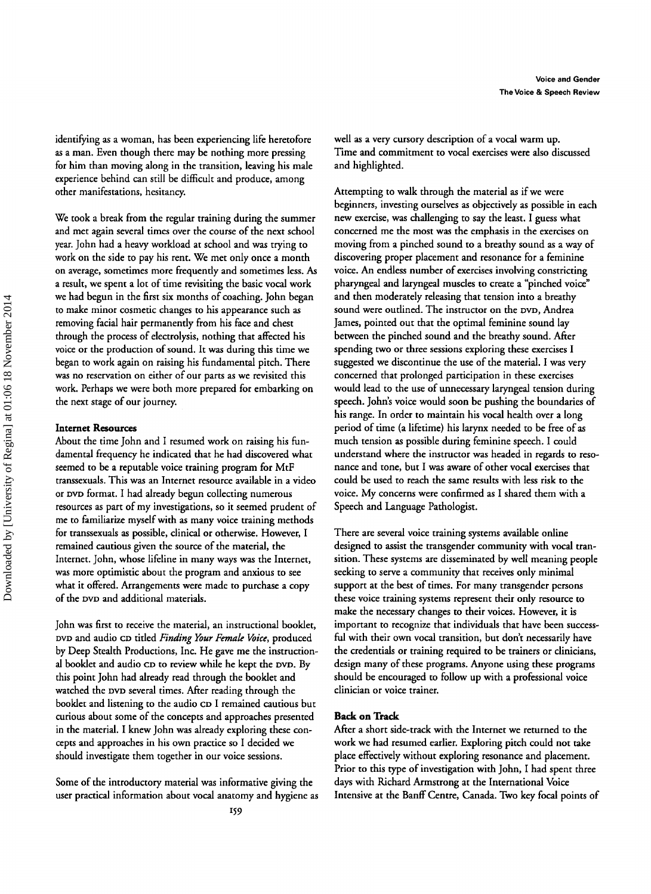identifying as a woman, has been experiencing life heretofore as a man. Even though there may be nothing more pressing for him than moving along in the transition, leaving his male experience behind can still be difficult and produce, among other manifestations, hesitancy.

We took a break from the regular training during the summer and met again several times over the course of the next school year. John had a heavy workload at school and was trying to work on the side to pay his rent. We met only once a month on average, sometimes more frequently and sometimes less. *As*  a result, we spent a lot of time revisiting the basic vocal work we had begun in the first six months of coaching. John began to make minor cosmetic changes to his appearance such as removing facial hair permanently from his face and chest through the process of electrolysis, nothing that affected his voice or the production of sound. It was during this time we began to work again on raising his fundamental pitch. There was no reservation on either of our parts as we revisited this work. Perhaps we were both more prepared for embarking on the next stage of our journey.

#### **Internet Resources**

About the time John and I resumed work on raising his fundamental frequency he indicated that he had discovered what seemed to be a reputable voice training program for MtF transsexuals. This was an Internet resource available in a video or DVD format. I had already begun collecting numerous resources as part of my investigations, so it seemed prudent of me to familiarize myself with as many voice training methods for transsexuals as possible, clinical or otherwise. However, I remained cautious given the source of the material, the Internet. John, whose lifeline in many ways was the Internet, was more optimistic about the program and anxious to see what it offered. Arrangements were made to purchase a copy of the DVD and additional materials.

John was first to receive the material, an instructional booklet, DVD and audio CD titled *Finding Your Female Wlice,* produced by Deep Stealth Productions, Inc. He gave me the instructional booklet and audio CD to review while he kept the DVD. By this point John had already read through the booklet and watched the DVD several times. After reading through the booklet and listening to the audio CD I remained cautious but curious about some of the concepts and approaches presented in the material. I knew John was already exploring these concepts and approaches in his own practice so I decided we should investigate them together in our voice sessions.

Some of the introductory material was informative giving the user practical information about vocal anatomy and hygiene as

Attempting to walk through the material as if we were beginners, investing ourselves as objectively as possible in each new exercise, was challenging to say the least. I guess what concerned me the most was the emphasis in the exercises on moving from a pinched sound to a breathy sound as a way of discovering proper placement and resonance for a feminine voice. An endless number of exercises involving constricting pharyngeal and laryngeal muscles to create a "pinched voice" and then moderately releasing that tension into a breathy sound were outlined. The instructor on the DVD, Andrea James, pointed out that the optimal feminine sound lay between the pinched sound and the breathy sound. After spending two or three sessions exploring these exercises I suggested we discontinue the use of the material. I was very concerned that prolonged participation in these exercises would lead to the use of unnecessary laryngeal tension during speech. John's voice would soon be pushing the boundaries of his range. In order to maintain his vocal health over a long period of time (a lifetime) his larynx needed to be free of as much tension as possible during feminine speech. I could understand where the instructor was headed in regards to resonance and tone, but I was aware of other vocal exercises that could be used to reach the same results with less risk to the voice. My concerns were confirmed as I shared them with a Speech and Language Pathologist.

There are several voice training systems available online designed to assist the transgender community with vocal transition. These systems are disseminated by well meaning people seeking to serve a community that receives only minimal support at the best of times. For many transgender persons these voice training systems represent their only resource to make the necessary changes to their voices. However, it is important to recognize that individuals that have been successful with their own vocal transition, but don't necessarily have the credentials or training required to be trainers or clinicians, design many of these programs. Anyone using these programs should be encouraged to follow up with a professional voice clinician or voice trainer.

## **Back on Track**

After a short side-track with the Internet we returned to the work we had resumed earlier. Exploring pitch could not take place effectively without exploring resonance and placement. Prior to this type of investigation with John, I had spent three days with Richard Armstrong at the International Voice Intensive at the Banff Centre, Canada. Two key focal points of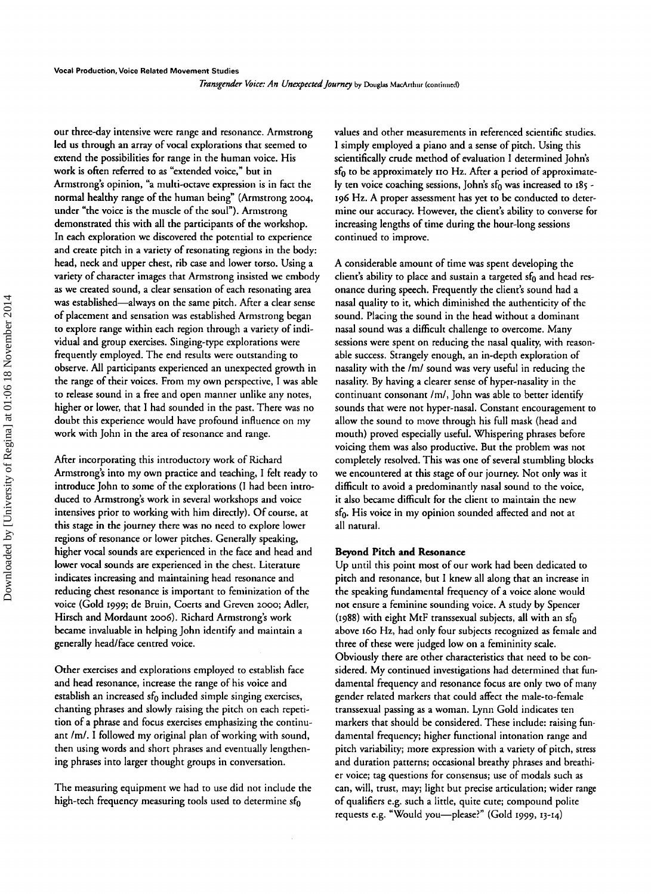*Transgender \i&ice: An Unexpected journey* by Douglas MacArthur (continued)

our three-day intensive were range and resonance. Armstrong led us through an array of vocal explorations that seemed to extend the possibilities for range in the human voice. His work is often referred to as "extended voice," but in Armstrong's opinion, "a multi-octave expression is in fact the normal healthy range of the human being" (Armstrong 2004, under "the voice is the muscle of the soul"). Armstrong demonstrated this with all the participants of the workshop. In each exploration we discovered the potential to experience and create pitch in a variety of resonating regions in the body: head, neck and upper chest, rib case and lower torso. Using a variety of character images that Armstrong insisted we embody as we created sound, a clear sensation of each resonating area was established-always on the same pitch. After a clear sense of placement and sensation was established Armstrong began to explore range within each region through a variety of individual and group exercises. Singing-type explorations were frequently employed. The end results were outstanding to observe. All participants experienced an unexpected growth in the range of their voices. From my own perspective, I was able to release sound in a free and open manner unlike any notes, higher or lower, that I had sounded in the past. There was no doubt this experience would have profound influence on my work with John in the area of resonance and range.

After incorporating this introductory work of Richard Armstrong's into my own practice and teaching, I felt ready to introduce John to some of the explorations (I had been introduced to Armstrong's work in several workshops and voice intensives prior to working with him directly). Of course, at this stage in the journey there was no need to explore lower regions of resonance or lower pitches. Generally speaking, higher vocal sounds are experienced in the face and head and lower vocal sounds are experienced in the chest. Literature indicates increasing and maintaining head resonance and reducing chest resonance is important to feminization of the voice (Gold 1999; de Bruin, Coerts and Greven 2000; Adler, Hirsch and Mordaunt 2006). Richard Armstrong's work became invaluable in helping John identify and maintain a generally head/face centred voice.

Other exercises and explorations employed to establish face and head resonance, increase the range of his voice and establish an increased  $sf_0$  included simple singing exercises, chanting phrases and slowly raising the pitch on each repetition of a phrase and focus exercises emphasizing the continuant /m/. I followed my original plan of working with sound, then using words and short phrases and eventually lengthening phrases into larger thought groups in conversation.

The measuring equipment we had to use did not include the high-tech frequency measuring tools used to determine  $sf_0$ 

values and other measurements in referenced scientific studies. I simply employed a piano and a sense of pitch. Using this scientifically crude method of evaluation I determined John's  $sf_0$  to be approximately 110 Hz. After a period of approximately ten voice coaching sessions, John's  $sf_0$  was increased to 185 -196 Hz. A proper assessment has yet to be conducted to determine our accuracy. However, the client's ability to converse for increasing lengths of time during the hour-long sessions continued to improve.

A considerable amount of time was spent developing the client's ability to place and sustain a targeted  $sf_0$  and head resonance during speech. Frequently the client's sound had a nasal quality to it, which diminished the authenticity of the sound. Placing the sound in the head without a dominant nasal sound was a difficult challenge to overcome. Many sessions were spent on reducing the nasal quality, with reasonable success. Strangely enough, an in-depth exploration of nasality with the /m/ sound was very useful in reducing the nasality. By having a clearer sense of hyper-nasality in the continuant consonant /m/, John was able to better identify sounds that were not hyper-nasal. Constant encouragement to allow the sound to move through his full mask (head and mouth) proved especially useful. Whispering phrases before voicing them was also productive. But the problem was not completely resolved. This was one of several stumbling blocks we encountered at this stage of our journey. Not only was it difficult to avoid a predominantly nasal sound to the voice, it also became difficult for the client to maintain the new sfo. His voice in my opinion sounded affected and not at all natural.

## **Beyond Pitch and Resonance**

Up until this point most of our work had been dedicated to pitch and resonance, but I knew all along that an increase in the speaking fundamental frequency of a voice alone would not ensure a feminine sounding voice. A study by Spencer (1988) with eight MtF transsexual subjects, all with an  $sf_0$ above 160 Hz, had only four subjects recognized as female and three of these were judged low on a femininity scale. Obviously there are other characteristics that need to be considered. My continued investigations had determined that fundamental frequency and resonance focus are only two of many gender related markers that could affect the male-to-female transsexual passing as a woman. Lynn Gold indicates ten markers that should be considered. These include: raising fundamental frequency; higher functional intonation range and pitch variability; more expression with a variety of pitch, stress and duration patterns; occasional breathy phrases and breathier voice; tag questions for consensus; use of modals such as can, will, trust, may; light but precise articulation; wider range of qualifiers e.g. such a little, quite cute; compound polite requests e.g. "Would you-please?" (Gold 1999, 13-14)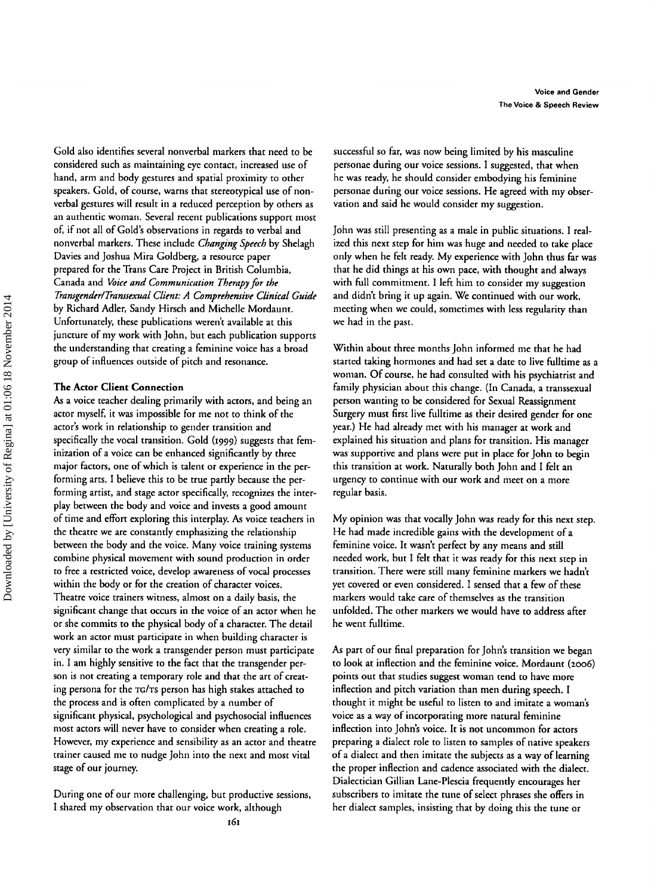Gold also identifies several nonverbal markers that need to be considered such as maintaining eye contact, increased use of hand, arm and body gestures and spatial proximity to other speakers. Gold, of course, warns that stereotypical use of nonverbal gestures will result in a reduced perception by others as an authentic woman. Several recent publications support most of, if not all of Gold's observations in regards to verbal and nonverbal markers. These include *Changing Speech* by Shelagh Davies and Joshua Mira Goldberg, a resource paper prepared for the Trans Care Project in British Columbia, Canada and *\.fJice and Communication Therapy for the Transgender/Transsexual Client: A Comprehensive Clinical Guide*  by Richard Adler, Sandy Hirsch and Michelle Mordaunt. Unfortunately, these publications weren't available at this juncture of my work with John, but each publication supports the understanding that creating a feminine voice has a broad group of influences outside of pitch and resonance.

## **The Actor Client Connection**

As a voice teacher dealing primarily with actors, and being an actor myself, it was impossible for me not to think of the actor's work in relationship to gender transition and specifically the vocal transition. Gold (1999) suggests that feminization of a voice can be enhanced significantly by three major factors, one of which is talent or experience in the performing arts. I believe this to be true partly because the performing artist, and stage actor specifically, recognizes the interplay between the body and voice and invests a good amount of time and effort exploring this interplay. As voice teachers in the theatre we are constantly emphasizing the relationship between the body and the voice. Many voice training systems combine physical movement with sound production in order to free a restricted voice, develop awareness of vocal processes within the body or for the creation of character voices. Theatre voice trainers witness, almost on a daily basis, the significant change that occurs in the voice of an actor when he or she commits to the physical body of a character. The detail work an actor must participate in when building character is very similar to the work a transgender person must participate in. I am highly sensitive to the fact char the transgender person is not creating a temporary role and that the art of creating persona for the TG/TS person has high stakes attached to the process and is often complicated by a number of significant physical, psychological and psychosocial influences most actors will never have to consider when creating a role. However, my experience and sensibility as an actor and theatre trainer caused me to nudge John into the next and most vital stage of our journey.

During one of our more challenging, but productive sessions, I shared my observation that our voice work, although

successful so far, was now being limited by his masculine personae during our voice sessions. I suggested, that when he was ready, he should consider embodying his feminine personae during our voice sessions. He agreed with my observation and said he would consider my suggestion.

John was still presenting as a male in public situations. I realized this next step for him was huge and needed to take place only when he felt ready. My experience with John thus far was chat he did things at his own pace, with thought and always with full commitment. I left him to consider my suggestion and didn't bring it up again. We continued with our work, meeting when we could, sometimes with less regularity than we had in the past.

Within about three months John informed me that he had started taking hormones and had set a date to live fulltime as a woman. Of course, he had consulted with his psychiatrist and family physician about this change. (In Canada, a transsexual person wanting to be considered for Sexual Reassignment Surgery must first live fulltime as their desired gender for one year.) He had already mer with his manager at work and explained his situation and plans for transition. His manager was supportive and plans were put in place for John to begin this transition at work. Naturally both John and I felt an urgency to continue with our work and meet on a more regular basis.

My opinion was that vocally John was ready for this next step. He had made incredible gains with the development of a feminine voice. It wasn't perfect by any means and still needed work, but I felt that it was ready for this next step in transition. There were still many feminine markers we hadn't yet covered or even considered. I sensed that a few of these markers would rake care of themselves as the transition unfolded. The other markers we would have to address after he went fullrime.

As part of our final preparation for John's transition we began to look at inflection and the feminine voice. Mordaunt (2006) points out that studies suggest woman tend to have more inflection and pitch variation than men during speech. I thought it might be useful to listen to and imitate a woman's voice as a way of incorporating more natural feminine inflection into John's voice. It is not uncommon for actors preparing a dialect role to listen to samples of native speakers of a dialect and then imitate the subjects as a way of learning the proper inflection and cadence associated with the dialect. Dialecrician Gillian Lane-Plescia frequently encourages her subscribers to imitate the tune of select phrases she offers in her dialect samples, insisting chat by doing chis the tune or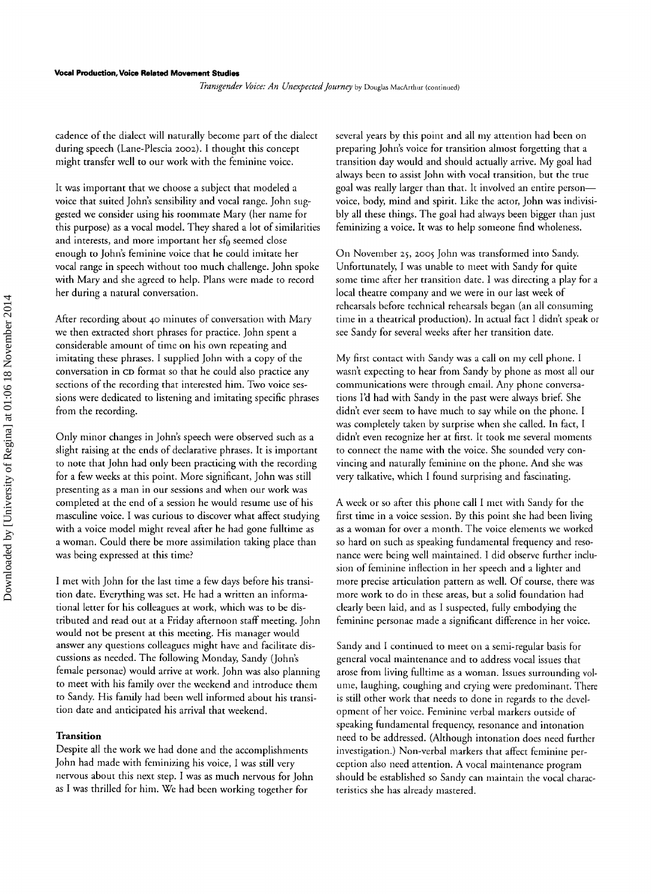cadence of the dialect will naturally become part of the dialect during speech (Lane-Plescia 2002). I thought this concept might transfer well to our work with the feminine voice.

It was important that we choose a subject that modeled a voice that suited John's sensibility and vocal range. John suggested we consider using his roommate Mary (her name for this purpose) as a vocal model. They shared a lot of similarities and interests, and more important her  $sf_0$  seemed close enough to John's feminine voice that he could imitate her vocal range in speech without roo much challenge. John spoke with Mary and she agreed to help. Plans were made to record her during a natural conversation.

After recording about 40 minutes of conversation with Mary we then extracted short phrases for practice. John spent a considerable amount of time on his own repeating and imitating these phrases. I supplied John with a copy of the conversation in co format so that he could also practice any sections of the recording that interested him. Two voice sessions were dedicated to listening and imitating specific phrases from the recording.

Only minor changes in John's speech were observed such as a slight raising at the ends of declarative phrases. It is important to note that John had only been practicing with the recording for a few weeks at this point. More significant, John was still presenting as a man in our sessions and when our work was completed at the end of a session he would resume use of his masculine voice. I was curious to discover what affect studying with a voice model might reveal after he had gone fulltime as a woman. Could there be more assimilation taking place than was being expressed at this time?

I met with John for the last time a few days before his transition date. Everything was set. He had a written an informational letter for his colleagues at work, which was to be distributed and read out at a Friday afternoon staff meeting. John would not be present at this meeting. His manager would answer any questions colleagues might have and facilitate discussions as needed. The following Monday, Sandy (John's female personae) would arrive at work. John was also planning to meet with his family over the weekend and introduce them to Sandy. His family had been well informed about his transition date and anticipated his arrival that weekend.

#### **Transition**

Despite all the work we had done and the accomplishments John had made with feminizing his voice, I was still very nervous about this next step. I was as much nervous for John as I was thrilled for him. We had been working together for

several years by this point and all my attention had been on preparing John's voice for transition almost forgetting that a transition day would and should actually arrive. My goal had always been to assist John with vocal transition, but the true goal was really larger than that. It involved an entire personvoice, body, mind and spirit. Like the actor, John was indivisibly all these things. The goal had always been bigger than just feminizing a voice. It was to help someone find wholeness.

On November 25, 2005 John was transformed into Sandy. Unfortunately, I was unable to meet with Sandy for quite some time after her transition date. I was directing a play for a local theatre company and we were in our last week of rehearsals before technical rehearsals began (an all consuming time in a theatrical production). In actual fact I didn't speak or see Sandy for several weeks after her transition date.

My first contact with Sandy was a call on my cell phone. I wasn't expecting to hear from Sandy by phone as most all our communications were through email. Any phone conversations I'd had with Sandy in the past were always brief. She didn't ever seem to have much to say while on the phone. I was completely taken by surprise when she called. In fact, I didn't even recognize her at first. It took me several moments to connect the name with the voice. She sounded very convincing and naturally feminine on the phone. And she was very talkative, which I found surprising and fascinating.

A week or so after this phone call I met with Sandy for the first time in a voice session. By this point she had been living as a woman for over a month. The voice elements we worked so hard on such as speaking fundamental frequency and resonance were being well maintained. I did observe further inclusion of feminine inflection in her speech and a lighter and more precise articulation pattern as well. Of course, there was more work to do in these areas, but a solid foundation had clearly been laid, and as I suspected, fully embodying the feminine personae made a significant difference in her voice.

Sandy and I continued to meet on a semi-regular basis for general vocal maintenance and to address vocal issues that arose from living fulltime as a woman. Issues surrounding volume, laughing, coughing and crying were predominant. There is still other work that needs ro done in regards to the development of her voice. Feminine verbal markers outside of speaking fundamental frequency, resonance and intonation need to be addressed. (Although intonation does need further investigation.) Non-verbal markers that affect feminine perception also need attention. A vocal maintenance program should be established so Sandy can maintain the vocal characteristics she has already mastered.